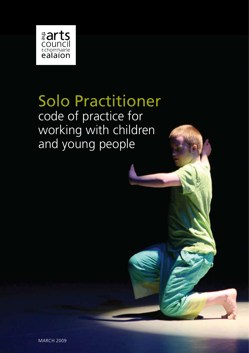

Solo Practitioner code of practice for working with children and young people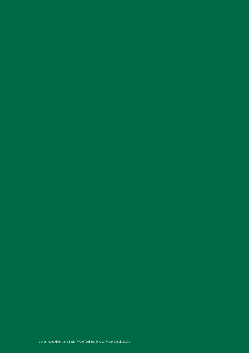Cover image (Front and Back): Waterford Youth Arts. Photo: Derek Speirs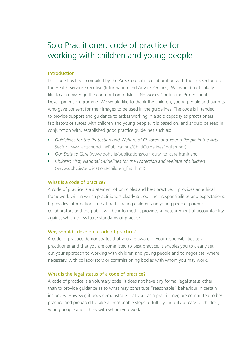# Solo Practitioner: code of practice for working with children and young people

## Introduction

This code has been compiled by the Arts Council in collaboration with the arts sector and the Health Service Executive (Information and Advice Persons). We would particularly like to acknowledge the contribution of Music Network's Continuing Professional Development Programme. We would like to thank the children, young people and parents who gave consent for their images to be used in the guidelines. The code is intended to provide support and guidance to artists working in a solo capacity as practitioners, facilitators or tutors with children and young people. It is based on, and should be read in conjunction with, established good practice guidelines such as:

- • *Guidelines for the Protection and Welfare of Children and Young People in the Arts Sector* (www.artscouncil.ie/Publications/ChildGuidelinesEnglish.pdf)
- *Our Duty to Care* (www.dohc.ie/publications/our\_duty\_to\_care.html) and
- Children First, National Guidelines for the Protection and Welfare of Children (www.dohc.ie/publications/children\_first.html)

## What is a code of practice?

A code of practice is a statement of principles and best practice. It provides an ethical framework within which practitioners clearly set out their responsibilities and expectations. It provides information so that participating children and young people, parents, collaborators and the public will be informed. It provides a measurement of accountability against which to evaluate standards of practice.

## Why should I develop a code of practice?

A code of practice demonstrates that you are aware of your responsibilities as a practitioner and that you are committed to best practice. It enables you to clearly set out your approach to working with children and young people and to negotiate, where necessary, with collaborators or commissioning bodies with whom you may work.

## What is the legal status of a code of practice?

A code of practice is a voluntary code, it does not have any formal legal status other than to provide guidance as to what may constitute "reasonable" behaviour in certain instances. However, it does demonstrate that you, as a practitioner, are committed to best practice and prepared to take all reasonable steps to fulfill your duty of care to children, young people and others with whom you work.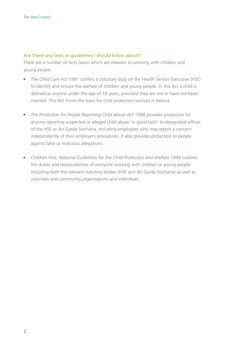## Are there any laws or guidelines I should know about?

There are a number of Acts (laws) which are relevant to working with children and young people.

- *The Child Care Act 1991* confers a statutory duty on the Health Service Executive (HSE) to identify and ensure the welfare of children and young people. In this Act a child is defined as anyone under the age of 18 years, provided they are not or have not been married. This Act forms the basis for child protection services in Ireland.
- The Protection for People Reporting Child Abuse Act 1998 provides protection for anyone reporting suspected or alleged child abuse 'in good faith' to designated offices of the HSE or An Garda Síochána, including employees who may report a concern independently of their employers procedures. It also provides protection to people against false or malicious allegations.
- • *Children First, National Guidelines for the Child Protection and Welfare 1999* outlines the duties and responsibilities of everyone working with children or young people including both the relevant statutory bodies (HSE and An Garda Síochána) as well as voluntary and community organisations and individuals.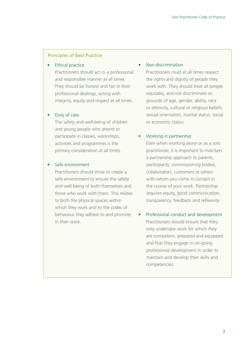#### Principles of Best Practice

## **Ethical practice**

Practitioners should act in a professional and responsible manner at all times. They should be honest and fair in their professional dealings, acting with integrity, equity and respect at all times.

#### • Duty of care

The safety and well-being of children and young people who attend or participate in classes, workshops, activities and programmes is the primary consideration at all times.

## Safe environment

Practitioners should strive to create a safe environment to ensure the safety and well-being of both themselves and those who work with them. This relates to both the physical spaces within which they work and to the codes of behaviour they adhere to and promote in their work.

#### Non-discrimination

Practitioners must at all times respect the rights and dignity of people they work with. They should treat all people equitably, and not discriminate on grounds of age, gender, ability, race or ethnicity, cultural or religious beliefs, sexual orientation, marital status, social or economic status.

## Working in partnership

Even when working alone or as a solo practitioner, it is important to maintain a partnership approach to parents, participants, commissioning bodies, collaborators, customers or others with whom you come in contact in the course of your work. Partnership requires equity, good communication, transparency, feedback and reflexivity.

• Professional conduct and development Practitioners should ensure that they only undertake work for which they are competent, prepared and equipped and that they engage in on-going professional development in order to maintain and develop their skills and competencies.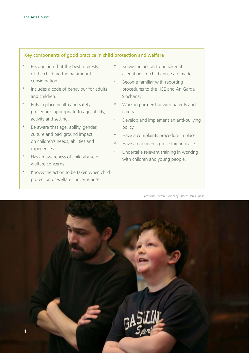## Key components of good practice in child protection and welfare

- Recognition that the best interests of the child are the paramount consideration.
- \* Includes a code of behaviour for adults and children.
- \* Puts in place health and safety procedures appropriate to age, ability, activity and setting.
- \* Be aware that age, ability, gender, culture and background impact on children's needs, abilities and experiences.
- \* Has an awareness of child abuse or welfare concerns.
- \* Knows the action to be taken when child protection or welfare concerns arise.
- Know the action to be taken if allegations of child abuse are made.
- Become familiar with reporting procedures to the HSE and An Garda Síochána.
- \* Work in partnership with parents and carers.
- Develop and implement an anti-bullying policy.
- \* Have a complaints procedure in place.
- \* Have an accidents procedure in place.
- Undertake relevant training in working with children and young people.

Barnstorm Theatre Company. Photo: Derek Speirs

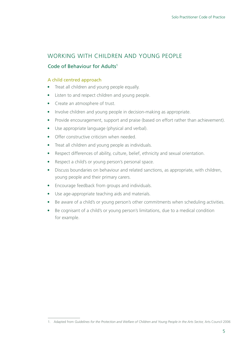# Working with children and young people

## Code of Behaviour for Adults1

## A child centred approach

- Treat all children and young people equally.
- Listen to and respect children and young people.
- Create an atmosphere of trust.
- Involve children and young people in decision-making as appropriate.
- Provide encouragement, support and praise (based on effort rather than achievement).
- Use appropriate language (physical and verbal).
- Offer constructive criticism when needed.
- Treat all children and young people as individuals.
- Respect differences of ability, culture, belief, ethnicity and sexual orientation.
- Respect a child's or young person's personal space.
- Discuss boundaries on behaviour and related sanctions, as appropriate, with children, young people and their primary carers.
- Encourage feedback from groups and individuals.
- Use age-appropriate teaching aids and materials.
- Be aware of a child's or young person's other commitments when scheduling activities.
- Be cognisant of a child's or young person's limitations, due to a medical condition for example.

<sup>1.</sup> Adapted from *Guidelines for the Protection and Welfare of Children and Young People in the Arts Sector,* Arts Council 2006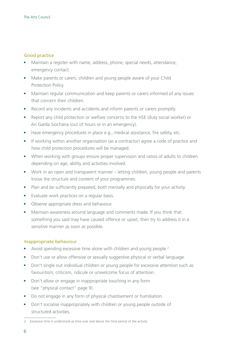## Good practice

- Maintain a register with name, address, phone, special needs, attendance, emergency contact.
- Make parents or carers, children and young people aware of your Child Protection Policy.
- Maintain regular communication and keep parents or carers informed of any issues that concern their children.
- Record any incidents and accidents and inform parents or carers promptly.
- Report any child protection or welfare concerns to the HSE (duty social worker) or An Garda Síochána (out of hours or in an emergency).
- Have emergency procedures in place e.g., medical assistance, fire safety, etc.
- If working within another organisation (as a contractor) agree a code of practice and how child protection procedures will be managed.
- When working with groups ensure proper supervision and ratios of adults to children depending on age, ability and activities involved.
- Work in an open and transparent manner letting children, young people and parents know the structure and content of your programmes.
- Plan and be sufficiently prepared, both mentally and physically for your activity.
- Evaluate work practices on a regular basis.
- Observe appropriate dress and behaviour.
- Maintain awareness around language and comments made. If you think that something you said may have caused offence or upset, then try to address it in a sensitive manner as soon as possible.

## Inappropriate behaviour

- Avoid spending excessive time alone with children and young people.<sup>2</sup>
- Don't use or allow offensive or sexually suggestive physical or verbal language.
- Don't single out individual children or young people for excessive attention such as favouritism, criticism, ridicule or unwelcome focus of attention.
- Don't allow or engage in inappropriate touching in any form (see "physical contact" page 9).
- Do not engage in any form of physical chastisement or humiliation.
- Don't socialise inappropriately with children or young people outside of structured activities.

<sup>2.</sup> Excessive time is understood as time over and above the time period of the activity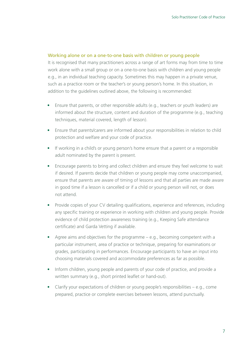## Working alone or on a one-to-one basis with children or young people

It is recognised that many practitioners across a range of art forms may from time to time work alone with a small group or on a one-to-one basis with children and young people e.g., in an individual teaching capacity. Sometimes this may happen in a private venue, such as a practice room or the teacher's or young person's home. In this situation, in addition to the guidelines outlined above, the following is recommended:

- Ensure that parents, or other responsible adults (e.g., teachers or youth leaders) are informed about the structure, content and duration of the programme (e.g., teaching techniques, material covered, length of lesson).
- Ensure that parents/carers are informed about your responsibilities in relation to child protection and welfare and your code of practice.
- If working in a child's or young person's home ensure that a parent or a responsible adult nominated by the parent is present.
- Encourage parents to bring and collect children and ensure they feel welcome to wait if desired. If parents decide that children or young people may come unaccompanied, ensure that parents are aware of timing of lessons and that all parties are made aware in good time if a lesson is cancelled or if a child or young person will not, or does not attend.
- Provide copies of your CV detailing qualifications, experience and references, including any specific training or experience in working with children and young people. Provide evidence of child protection awareness training (e.g., Keeping Safe attendance certificate) and Garda Vetting if available.
- Agree aims and objectives for the programme  $-$  e.g., becoming competent with a particular instrument, area of practice or technique, preparing for examinations or grades, participating in performances. Encourage participants to have an input into choosing materials covered and accommodate preferences as far as possible.
- Inform children, young people and parents of your code of practice, and provide a written summary (e.g., short printed leaflet or hand-out).
- Clarify your expectations of children or young people's responsibilities  $-e.g.,$  come prepared, practice or complete exercises between lessons, attend punctually.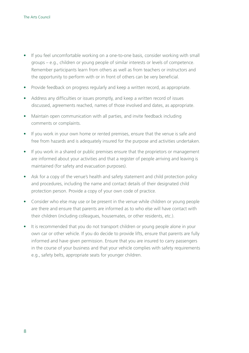- If you feel uncomfortable working on a one-to-one basis, consider working with small groups – e.g., children or young people of similar interests or levels of competence. Remember participants learn from others as well as from teachers or instructors and the opportunity to perform with or in front of others can be very beneficial.
- Provide feedback on progress regularly and keep a written record, as appropriate.
- Address any difficulties or issues promptly, and keep a written record of issues discussed, agreements reached, names of those involved and dates, as appropriate.
- Maintain open communication with all parties, and invite feedback including comments or complaints.
- If you work in your own home or rented premises, ensure that the venue is safe and free from hazards and is adequately insured for the purpose and activities undertaken.
- If you work in a shared or public premises ensure that the proprietors or management are informed about your activities and that a register of people arriving and leaving is maintained (for safety and evacuation purposes).
- Ask for a copy of the venue's health and safety statement and child protection policy and procedures, including the name and contact details of their designated child protection person. Provide a copy of your own code of practice.
- Consider who else may use or be present in the venue while children or young people are there and ensure that parents are informed as to who else will have contact with their children (including colleagues, housemates, or other residents, etc.).
- It is recommended that you do not transport children or young people alone in your own car or other vehicle. If you do decide to provide lifts, ensure that parents are fully informed and have given permission. Ensure that you are insured to carry passengers in the course of your business and that your vehicle complies with safety requirements e.g., safety belts, appropriate seats for younger children.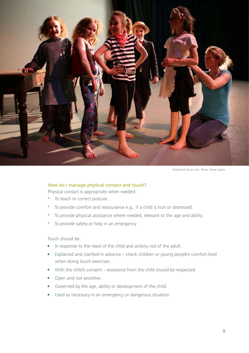

Waterford Youth Arts. Photo: Derek Speirs

#### How do I manage physical contact and touch?

Physical contact is appropriate when needed:

- \* To teach or correct posture.
- \* To provide comfort and reassurance e.g., if a child is hurt or distressed.
- \* To provide physical assistance where needed, relevant to the age and ability.
- \* To provide safety or help in an emergency.

Touch should be:

- In response to the need of the child and activity not of the adult.
- Explained and clarified in advance check children or young people's comfort level when doing touch exercises.
- With the child's consent resistance from the child should be respected.
- Open and not secretive.
- Governed by the age, ability or development of the child.
- Used as necessary in an emergency or dangerous situation.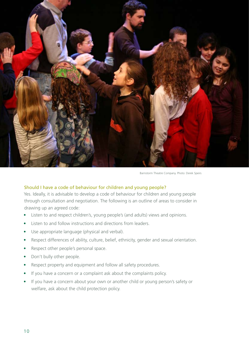

Barnstorm Theatre Company. Photo: Derek Speirs

## Should I have a code of behaviour for children and young people?

Yes. Ideally, it is advisable to develop a code of behaviour for children and young people through consultation and negotiation. The following is an outline of areas to consider in drawing up an agreed code:

- Listen to and respect children's, young people's (and adults) views and opinions.
- Listen to and follow instructions and directions from leaders.
- Use appropriate language (physical and verbal).
- Respect differences of ability, culture, belief, ethnicity, gender and sexual orientation.
- Respect other people's personal space.
- Don't bully other people.
- Respect property and equipment and follow all safety procedures.
- If you have a concern or a complaint ask about the complaints policy.
- If you have a concern about your own or another child or young person's safety or welfare, ask about the child protection policy.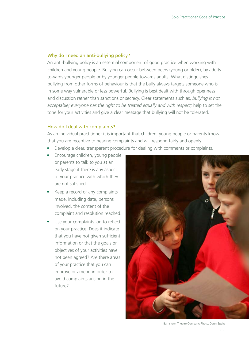## Why do I need an anti-bullying policy?

An anti-bullying policy is an essential component of good practice when working with children and young people. Bullying can occur between peers (young or older), by adults towards younger people or by younger people towards adults. What distinguishes bullying from other forms of behaviour is that the bully always targets someone who is in some way vulnerable or less powerful. Bullying is best dealt with through openness and discussion rather than sanctions or secrecy. Clear statements such as, *bullying is not acceptable; everyone has the right to be treated equally and with respect;* help to set the tone for your activities and give a clear message that bullying will not be tolerated.

## How do I deal with complaints?

As an individual practitioner it is important that children, young people or parents know that you are receptive to hearing complaints and will respond fairly and openly.

- Develop a clear, transparent procedure for dealing with comments or complaints.
- Encourage children, young people or parents to talk to you at an early stage if there is any aspect of your practice with which they are not satisfied.
- Keep a record of any complaints made, including date, persons involved, the content of the complaint and resolution reached.
- Use your complaints log to reflect on your practice. Does it indicate that you have not given sufficient information or that the goals or objectives of your activities have not been agreed? Are there areas of your practice that you can improve or amend in order to avoid complaints arising in the future?



Barnstorm Theatre Company. Photo: Derek Speirs